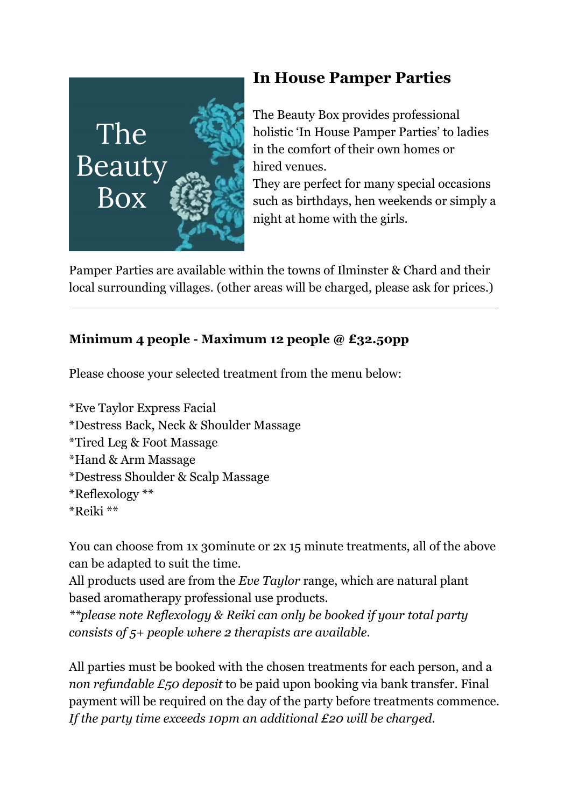

## **In House Pamper Parties**

The Beauty Box provides professional holistic 'In House Pamper Parties' to ladies in the comfort of their own homes or hired venues.

They are perfect for many special occasions such as birthdays, hen weekends or simply a night at home with the girls.

Pamper Parties are available within the towns of Ilminster & Chard and their local surrounding villages. (other areas will be charged, please ask for prices.)

## **Minimum 4 people - Maximum 12 people @ £32.50pp**

Please choose your selected treatment from the menu below:

\*Eve Taylor Express Facial \*Destress Back, Neck & Shoulder Massage \*Tired Leg & Foot Massage \*Hand & Arm Massage \*Destress Shoulder & Scalp Massage \*Reflexology \*\* \*Reiki \*\*

You can choose from 1x 30minute or 2x 15 minute treatments, all of the above can be adapted to suit the time.

All products used are from the *Eve Taylor* range, which are natural plant based aromatherapy professional use products.

*\*\*please note Reflexology & Reiki can only be booked if your total party consists of 5+ people where 2 therapists are available.* 

All parties must be booked with the chosen treatments for each person, and a *non refundable £50 deposit* to be paid upon booking via bank transfer. Final payment will be required on the day of the party before treatments commence. *If the party time exceeds 10pm an additional £20 will be charged.*